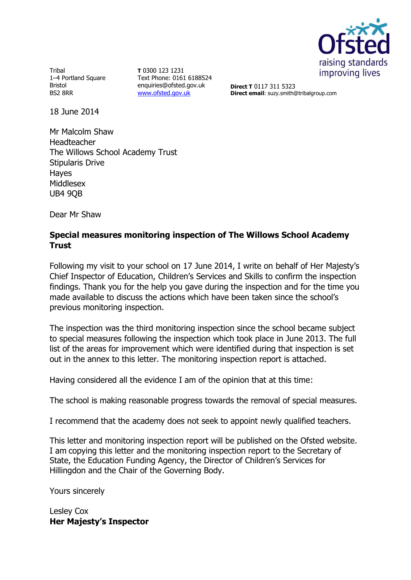

Tribal 1–4 Portland Square Bristol BS2 8RR

**T** 0300 123 1231 Text Phone: 0161 6188524 enquiries@ofsted.gov.uk [www.ofsted.gov.uk](http://www.ofsted.gov.uk/)

**Direct T** 0117 311 5323 **Direct email**: suzy.smith@tribalgroup.com

18 June 2014

Mr Malcolm Shaw Headteacher The Willows School Academy Trust Stipularis Drive Hayes Middlesex UB4 9QB

Dear Mr Shaw

### **Special measures monitoring inspection of The Willows School Academy Trust**

Following my visit to your school on 17 June 2014, I write on behalf of Her Majesty's Chief Inspector of Education, Children's Services and Skills to confirm the inspection findings. Thank you for the help you gave during the inspection and for the time you made available to discuss the actions which have been taken since the school's previous monitoring inspection.

The inspection was the third monitoring inspection since the school became subject to special measures following the inspection which took place in June 2013. The full list of the areas for improvement which were identified during that inspection is set out in the annex to this letter. The monitoring inspection report is attached.

Having considered all the evidence I am of the opinion that at this time:

The school is making reasonable progress towards the removal of special measures.

I recommend that the academy does not seek to appoint newly qualified teachers.

This letter and monitoring inspection report will be published on the Ofsted website. I am copying this letter and the monitoring inspection report to the Secretary of State, the Education Funding Agency, the Director of Children's Services for Hillingdon and the Chair of the Governing Body.

Yours sincerely

Lesley Cox **Her Majesty's Inspector**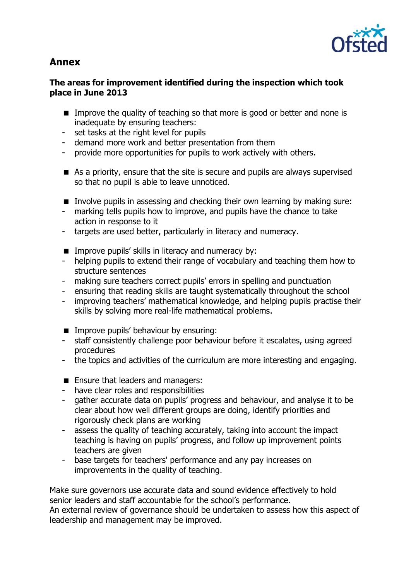

# **Annex**

### **The areas for improvement identified during the inspection which took place in June 2013**

- Improve the quality of teaching so that more is good or better and none is inadequate by ensuring teachers:
- set tasks at the right level for pupils
- demand more work and better presentation from them
- provide more opportunities for pupils to work actively with others.
- As a priority, ensure that the site is secure and pupils are always supervised so that no pupil is able to leave unnoticed.
- Involve pupils in assessing and checking their own learning by making sure:
- marking tells pupils how to improve, and pupils have the chance to take action in response to it
- targets are used better, particularly in literacy and numeracy.
- $\blacksquare$  Improve pupils' skills in literacy and numeracy by:
- helping pupils to extend their range of vocabulary and teaching them how to structure sentences
- making sure teachers correct pupils' errors in spelling and punctuation
- ensuring that reading skills are taught systematically throughout the school
- improving teachers' mathematical knowledge, and helping pupils practise their skills by solving more real-life mathematical problems.
- **IMPROVE pupils' behaviour by ensuring:**
- staff consistently challenge poor behaviour before it escalates, using agreed procedures
- the topics and activities of the curriculum are more interesting and engaging.
- **Ensure that leaders and managers:**
- have clear roles and responsibilities
- gather accurate data on pupils' progress and behaviour, and analyse it to be clear about how well different groups are doing, identify priorities and rigorously check plans are working
- assess the quality of teaching accurately, taking into account the impact teaching is having on pupils' progress, and follow up improvement points teachers are given
- base targets for teachers' performance and any pay increases on improvements in the quality of teaching.

Make sure governors use accurate data and sound evidence effectively to hold senior leaders and staff accountable for the school's performance. An external review of governance should be undertaken to assess how this aspect of leadership and management may be improved.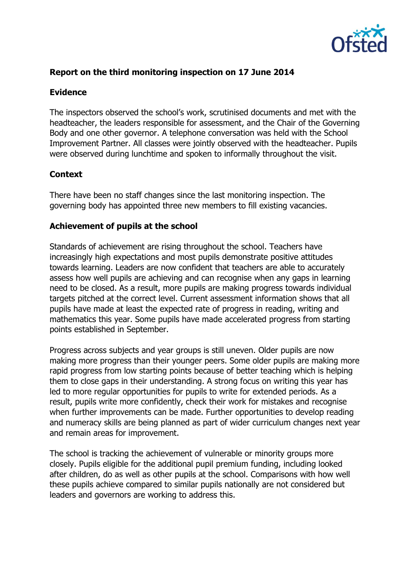

## **Report on the third monitoring inspection on 17 June 2014**

#### **Evidence**

The inspectors observed the school's work, scrutinised documents and met with the headteacher, the leaders responsible for assessment, and the Chair of the Governing Body and one other governor. A telephone conversation was held with the School Improvement Partner. All classes were jointly observed with the headteacher. Pupils were observed during lunchtime and spoken to informally throughout the visit.

### **Context**

There have been no staff changes since the last monitoring inspection. The governing body has appointed three new members to fill existing vacancies.

#### **Achievement of pupils at the school**

Standards of achievement are rising throughout the school. Teachers have increasingly high expectations and most pupils demonstrate positive attitudes towards learning. Leaders are now confident that teachers are able to accurately assess how well pupils are achieving and can recognise when any gaps in learning need to be closed. As a result, more pupils are making progress towards individual targets pitched at the correct level. Current assessment information shows that all pupils have made at least the expected rate of progress in reading, writing and mathematics this year. Some pupils have made accelerated progress from starting points established in September.

Progress across subjects and year groups is still uneven. Older pupils are now making more progress than their younger peers. Some older pupils are making more rapid progress from low starting points because of better teaching which is helping them to close gaps in their understanding. A strong focus on writing this year has led to more regular opportunities for pupils to write for extended periods. As a result, pupils write more confidently, check their work for mistakes and recognise when further improvements can be made. Further opportunities to develop reading and numeracy skills are being planned as part of wider curriculum changes next year and remain areas for improvement.

The school is tracking the achievement of vulnerable or minority groups more closely. Pupils eligible for the additional pupil premium funding, including looked after children, do as well as other pupils at the school. Comparisons with how well these pupils achieve compared to similar pupils nationally are not considered but leaders and governors are working to address this.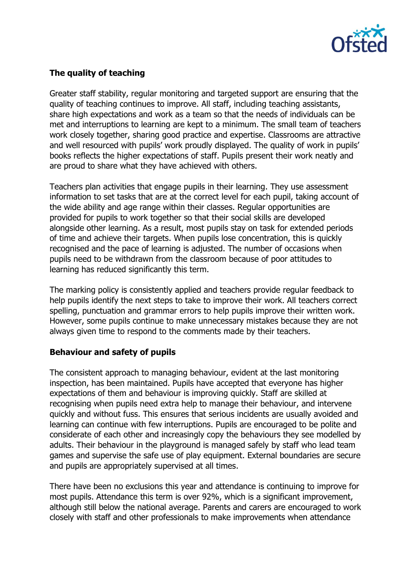

# **The quality of teaching**

Greater staff stability, regular monitoring and targeted support are ensuring that the quality of teaching continues to improve. All staff, including teaching assistants, share high expectations and work as a team so that the needs of individuals can be met and interruptions to learning are kept to a minimum. The small team of teachers work closely together, sharing good practice and expertise. Classrooms are attractive and well resourced with pupils' work proudly displayed. The quality of work in pupils' books reflects the higher expectations of staff. Pupils present their work neatly and are proud to share what they have achieved with others.

Teachers plan activities that engage pupils in their learning. They use assessment information to set tasks that are at the correct level for each pupil, taking account of the wide ability and age range within their classes. Regular opportunities are provided for pupils to work together so that their social skills are developed alongside other learning. As a result, most pupils stay on task for extended periods of time and achieve their targets. When pupils lose concentration, this is quickly recognised and the pace of learning is adjusted. The number of occasions when pupils need to be withdrawn from the classroom because of poor attitudes to learning has reduced significantly this term.

The marking policy is consistently applied and teachers provide regular feedback to help pupils identify the next steps to take to improve their work. All teachers correct spelling, punctuation and grammar errors to help pupils improve their written work. However, some pupils continue to make unnecessary mistakes because they are not always given time to respond to the comments made by their teachers.

# **Behaviour and safety of pupils**

The consistent approach to managing behaviour, evident at the last monitoring inspection, has been maintained. Pupils have accepted that everyone has higher expectations of them and behaviour is improving quickly. Staff are skilled at recognising when pupils need extra help to manage their behaviour, and intervene quickly and without fuss. This ensures that serious incidents are usually avoided and learning can continue with few interruptions. Pupils are encouraged to be polite and considerate of each other and increasingly copy the behaviours they see modelled by adults. Their behaviour in the playground is managed safely by staff who lead team games and supervise the safe use of play equipment. External boundaries are secure and pupils are appropriately supervised at all times.

There have been no exclusions this year and attendance is continuing to improve for most pupils. Attendance this term is over 92%, which is a significant improvement, although still below the national average. Parents and carers are encouraged to work closely with staff and other professionals to make improvements when attendance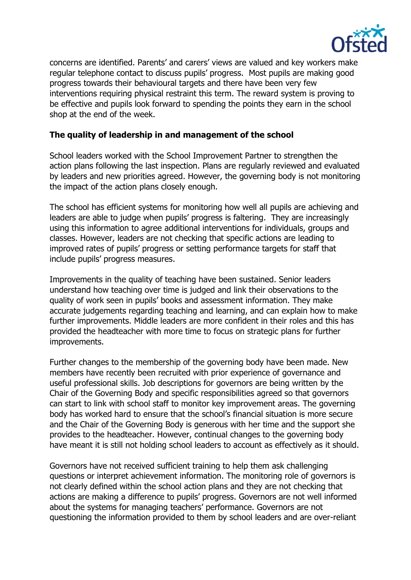

concerns are identified. Parents' and carers' views are valued and key workers make regular telephone contact to discuss pupils' progress. Most pupils are making good progress towards their behavioural targets and there have been very few interventions requiring physical restraint this term. The reward system is proving to be effective and pupils look forward to spending the points they earn in the school shop at the end of the week.

### **The quality of leadership in and management of the school**

School leaders worked with the School Improvement Partner to strengthen the action plans following the last inspection. Plans are regularly reviewed and evaluated by leaders and new priorities agreed. However, the governing body is not monitoring the impact of the action plans closely enough.

The school has efficient systems for monitoring how well all pupils are achieving and leaders are able to judge when pupils' progress is faltering. They are increasingly using this information to agree additional interventions for individuals, groups and classes. However, leaders are not checking that specific actions are leading to improved rates of pupils' progress or setting performance targets for staff that include pupils' progress measures.

Improvements in the quality of teaching have been sustained. Senior leaders understand how teaching over time is judged and link their observations to the quality of work seen in pupils' books and assessment information. They make accurate judgements regarding teaching and learning, and can explain how to make further improvements. Middle leaders are more confident in their roles and this has provided the headteacher with more time to focus on strategic plans for further improvements.

Further changes to the membership of the governing body have been made. New members have recently been recruited with prior experience of governance and useful professional skills. Job descriptions for governors are being written by the Chair of the Governing Body and specific responsibilities agreed so that governors can start to link with school staff to monitor key improvement areas. The governing body has worked hard to ensure that the school's financial situation is more secure and the Chair of the Governing Body is generous with her time and the support she provides to the headteacher. However, continual changes to the governing body have meant it is still not holding school leaders to account as effectively as it should.

Governors have not received sufficient training to help them ask challenging questions or interpret achievement information. The monitoring role of governors is not clearly defined within the school action plans and they are not checking that actions are making a difference to pupils' progress. Governors are not well informed about the systems for managing teachers' performance. Governors are not questioning the information provided to them by school leaders and are over-reliant